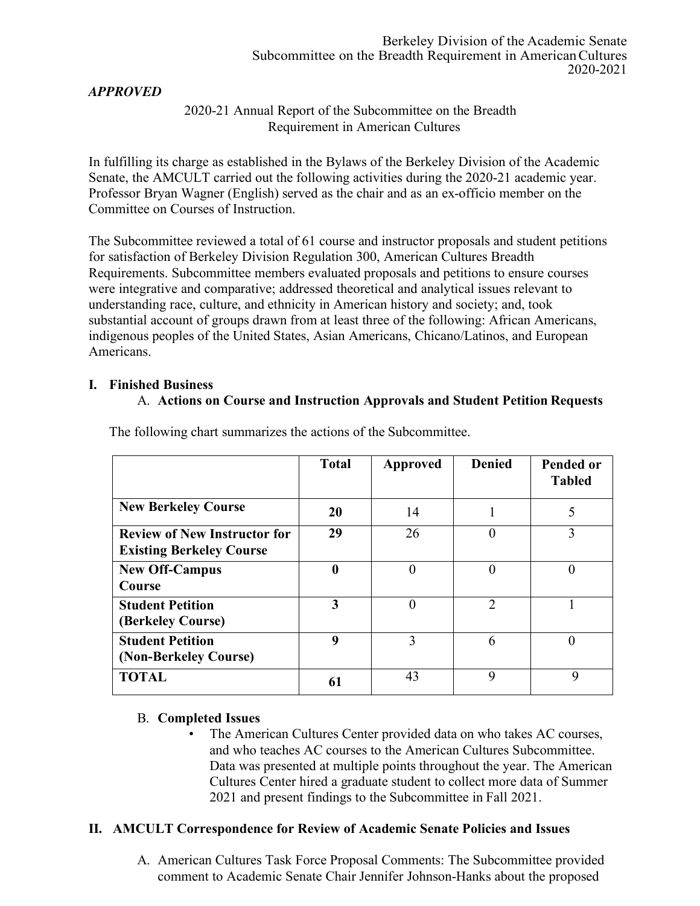#### Berkeley Division of the Academic Senate Subcommittee on the Breadth Requirement in American Cultures 2020-2021

# *APPROVED*

### 2020-21 Annual Report of the Subcommittee on the Breadth Requirement in American Cultures

In fulfilling its charge as established in the Bylaws of the Berkeley Division of the Academic Senate, the AMCULT carried out the following activities during the 2020-21 academic year. Professor Bryan Wagner (English) served as the chair and as an ex-officio member on the Committee on Courses of Instruction.

The Subcommittee reviewed a total of 61 course and instructor proposals and student petitions for satisfaction of Berkeley Division Regulation 300, American Cultures Breadth Requirements. Subcommittee members evaluated proposals and petitions to ensure courses were integrative and comparative; addressed theoretical and analytical issues relevant to understanding race, culture, and ethnicity in American history and society; and, took substantial account of groups drawn from at least three of the following: African Americans, indigenous peoples of the United States, Asian Americans, Chicano/Latinos, and European Americans.

#### **I. Finished Business**

### A. **Actions on Course and Instruction Approvals and Student Petition Requests**

|                                                                        | <b>Total</b> | <b>Approved</b> | <b>Denied</b> | <b>Pended or</b><br><b>Tabled</b> |
|------------------------------------------------------------------------|--------------|-----------------|---------------|-----------------------------------|
| <b>New Berkeley Course</b>                                             | 20           | 14              |               | 5                                 |
| <b>Review of New Instructor for</b><br><b>Existing Berkeley Course</b> | 29           | 26              | $\left($      | 3                                 |
| <b>New Off-Campus</b><br>Course                                        | 0            | $\theta$        | $\theta$      | $\theta$                          |
| <b>Student Petition</b><br>(Berkeley Course)                           | 3            | $\theta$        | 2             |                                   |
| <b>Student Petition</b><br>(Non-Berkeley Course)                       | 9            | 3               | 6             | $\theta$                          |
| <b>TOTAL</b>                                                           | 61           | 43              | 9             | 9                                 |

The following chart summarizes the actions of the Subcommittee.

### B. **Completed Issues**

The American Cultures Center provided data on who takes AC courses, and who teaches AC courses to the American Cultures Subcommittee. Data was presented at multiple points throughout the year. The American Cultures Center hired a graduate student to collect more data of Summer 2021 and present findings to the Subcommittee in Fall 2021.

### **II. AMCULT Correspondence for Review of Academic Senate Policies and Issues**

A. American Cultures Task Force Proposal Comments: The Subcommittee provided comment to Academic Senate Chair Jennifer Johnson-Hanks about the proposed